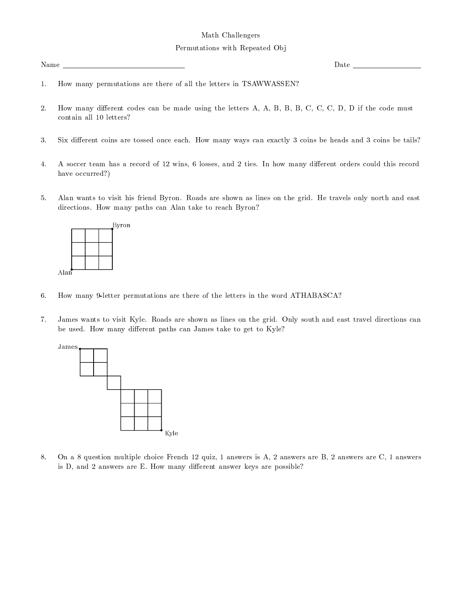## Permutations with Repeated Obj

Name \_

Date  $\overline{\phantom{0}}$ 

- How many permutations are there of all the letters in TSAWWASSEN?  $1.$
- 2. How many different codes can be made using the letters A, A, B, B, B, C, C, C, D, D if the code must contain all 10 letters?
- 3. Six different coins are tossed once each. How many ways can exactly 3 coins be heads and 3 coins be tails?
- 4. A soccer team has a record of 12 wins, 6 losses, and 2 ties. In how many different orders could this record have occurred?)
- 5. Alan wants to visit his friend Byron. Roads are shown as lines on the grid. He travels only north and east directions. How many paths can Alan take to reach Byron?



- 6. How many 9-letter permutations are there of the letters in the word ATHABASCA?
- 7. James wants to visit Kyle. Roads are shown as lines on the grid. Only south and east travel directions can be used. How many different paths can James take to get to Kyle?



On a 8 question multiple choice French 12 quiz, 1 answers is A, 2 answers are B, 2 answers are C, 1 answers 8. is D, and 2 answers are E. How many different answer keys are possible?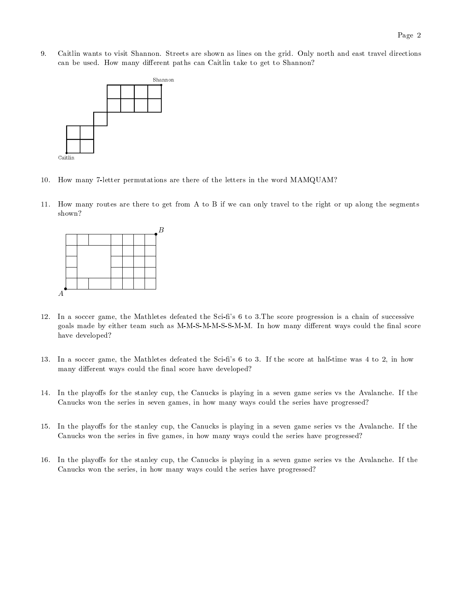9. Caitlin wants to visit Shannon. Streets are shown as lines on the grid. Only north and east travel directions can be used. How many different paths can Caitlin take to get to Shannon?



- 10. How many 7-letter permutations are there of the letters in the word MAMQUAM?
- 11. How many routes are there to get from A to B if we can only travel to the right or up along the segments shown?



- In a soccer game, the Mathletes defeated the Sci-fi's 6 to 3. The score progression is a chain of successive 12. goals made by either team such as M-M-S-M-M-S-S-M-M. In how many different ways could the final score have developed?
- 13. In a soccer game, the Mathletes defeated the Sci-fi's 6 to 3. If the score at half-time was 4 to 2, in how many different ways could the final score have developed?
- 14. In the playoffs for the stanley cup, the Canucks is playing in a seven game series vs the Avalanche. If the Canucks won the series in seven games, in how many ways could the series have progressed?
- 15. In the playoffs for the stanley cup, the Canucks is playing in a seven game series vs the Avalanche. If the Canucks won the series in five games, in how many ways could the series have progressed?
- 16. In the playoffs for the stanley cup, the Canucks is playing in a seven game series vs the Avalanche. If the Canucks won the series, in how many ways could the series have progressed?